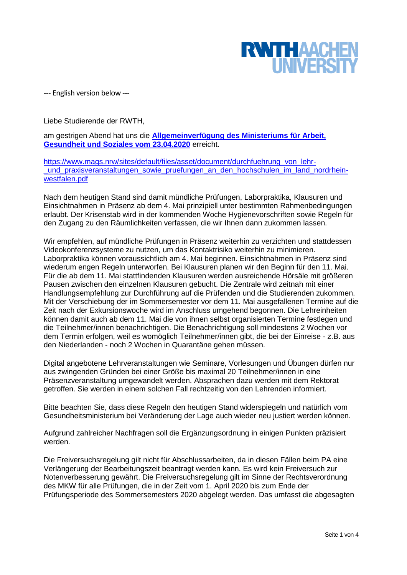

--- English version below ---

Liebe Studierende der RWTH,

am gestrigen Abend hat uns die **[Allgemeinverfügung des Ministeriums für Arbeit,](https://www.mags.nrw/sites/default/files/asset/document/200423_internet_av_durchfuehrung_von_lehr-_und_praxisveranstaltungen_sowie_pruefungen_an_den_hochschulen_im_land_nordrhein-westfalen.pdf)  [Gesundheit und Soziales vom 23.04.2020](https://www.mags.nrw/sites/default/files/asset/document/200423_internet_av_durchfuehrung_von_lehr-_und_praxisveranstaltungen_sowie_pruefungen_an_den_hochschulen_im_land_nordrhein-westfalen.pdf)** erreicht.

[https://www.mags.nrw/sites/default/files/asset/document/durchfuehrung\\_von\\_lehr](https://www.mags.nrw/sites/default/files/asset/document/durchfuehrung_von_lehr-_und_praxisveranstaltungen_sowie_pruefungen_an_den_hochschulen_im_land_nordrhein-westfalen.pdf) und praxisveranstaltungen sowie pruefungen an den hochschulen im land nordrhein[westfalen.pdf](https://www.mags.nrw/sites/default/files/asset/document/durchfuehrung_von_lehr-_und_praxisveranstaltungen_sowie_pruefungen_an_den_hochschulen_im_land_nordrhein-westfalen.pdf)

Nach dem heutigen Stand sind damit mündliche Prüfungen, Laborpraktika, Klausuren und Einsichtnahmen in Präsenz ab dem 4. Mai prinzipiell unter bestimmten Rahmenbedingungen erlaubt. Der Krisenstab wird in der kommenden Woche Hygienevorschriften sowie Regeln für den Zugang zu den Räumlichkeiten verfassen, die wir Ihnen dann zukommen lassen.

Wir empfehlen, auf mündliche Prüfungen in Präsenz weiterhin zu verzichten und stattdessen Videokonferenzsysteme zu nutzen, um das Kontaktrisiko weiterhin zu minimieren. Laborpraktika können voraussichtlich am 4. Mai beginnen. Einsichtnahmen in Präsenz sind wiederum engen Regeln unterworfen. Bei Klausuren planen wir den Beginn für den 11. Mai. Für die ab dem 11. Mai stattfindenden Klausuren werden ausreichende Hörsäle mit größeren Pausen zwischen den einzelnen Klausuren gebucht. Die Zentrale wird zeitnah mit einer Handlungsempfehlung zur Durchführung auf die Prüfenden und die Studierenden zukommen. Mit der Verschiebung der im Sommersemester vor dem 11. Mai ausgefallenen Termine auf die Zeit nach der Exkursionswoche wird im Anschluss umgehend begonnen. Die Lehreinheiten können damit auch ab dem 11. Mai die von ihnen selbst organisierten Termine festlegen und die Teilnehmer/innen benachrichtigen. Die Benachrichtigung soll mindestens 2 Wochen vor dem Termin erfolgen, weil es womöglich Teilnehmer/innen gibt, die bei der Einreise - z.B. aus den Niederlanden - noch 2 Wochen in Quarantäne gehen müssen.

Digital angebotene Lehrveranstaltungen wie Seminare, Vorlesungen und Übungen dürfen nur aus zwingenden Gründen bei einer Größe bis maximal 20 Teilnehmer/innen in eine Präsenzveranstaltung umgewandelt werden. Absprachen dazu werden mit dem Rektorat getroffen. Sie werden in einem solchen Fall rechtzeitig von den Lehrenden informiert.

Bitte beachten Sie, dass diese Regeln den heutigen Stand widerspiegeln und natürlich vom Gesundheitsministerium bei Veränderung der Lage auch wieder neu justiert werden können.

Aufgrund zahlreicher Nachfragen soll die Ergänzungsordnung in einigen Punkten präzisiert werden.

Die Freiversuchsregelung gilt nicht für Abschlussarbeiten, da in diesen Fällen beim PA eine Verlängerung der Bearbeitungszeit beantragt werden kann. Es wird kein Freiversuch zur Notenverbesserung gewährt. Die Freiversuchsregelung gilt im Sinne der Rechtsverordnung des MKW für alle Prüfungen, die in der Zeit vom 1. April 2020 bis zum Ende der Prüfungsperiode des Sommersemesters 2020 abgelegt werden. Das umfasst die abgesagten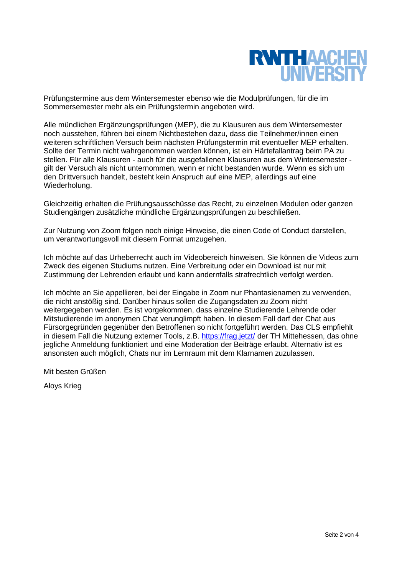

Prüfungstermine aus dem Wintersemester ebenso wie die Modulprüfungen, für die im Sommersemester mehr als ein Prüfungstermin angeboten wird.

Alle mündlichen Ergänzungsprüfungen (MEP), die zu Klausuren aus dem Wintersemester noch ausstehen, führen bei einem Nichtbestehen dazu, dass die Teilnehmer/innen einen weiteren schriftlichen Versuch beim nächsten Prüfungstermin mit eventueller MEP erhalten. Sollte der Termin nicht wahrgenommen werden können, ist ein Härtefallantrag beim PA zu stellen. Für alle Klausuren - auch für die ausgefallenen Klausuren aus dem Wintersemester gilt der Versuch als nicht unternommen, wenn er nicht bestanden wurde. Wenn es sich um den Drittversuch handelt, besteht kein Anspruch auf eine MEP, allerdings auf eine Wiederholung.

Gleichzeitig erhalten die Prüfungsausschüsse das Recht, zu einzelnen Modulen oder ganzen Studiengängen zusätzliche mündliche Ergänzungsprüfungen zu beschließen.

Zur Nutzung von Zoom folgen noch einige Hinweise, die einen Code of Conduct darstellen, um verantwortungsvoll mit diesem Format umzugehen.

Ich möchte auf das Urheberrecht auch im Videobereich hinweisen. Sie können die Videos zum Zweck des eigenen Studiums nutzen. Eine Verbreitung oder ein Download ist nur mit Zustimmung der Lehrenden erlaubt und kann andernfalls strafrechtlich verfolgt werden.

Ich möchte an Sie appellieren, bei der Eingabe in Zoom nur Phantasienamen zu verwenden, die nicht anstößig sind*.* Darüber hinaus sollen die Zugangsdaten zu Zoom nicht weitergegeben werden. Es ist vorgekommen, dass einzelne Studierende Lehrende oder Mitstudierende im anonymen Chat verunglimpft haben. In diesem Fall darf der Chat aus Fürsorgegründen gegenüber den Betroffenen so nicht fortgeführt werden. Das CLS empfiehlt in diesem Fall die Nutzung externer Tools, z.B.<https://frag.jetzt/> der TH Mittehessen, das ohne jegliche Anmeldung funktioniert und eine Moderation der Beiträge erlaubt. Alternativ ist es ansonsten auch möglich, Chats nur im Lernraum mit dem Klarnamen zuzulassen.

Mit besten Grüßen

Aloys Krieg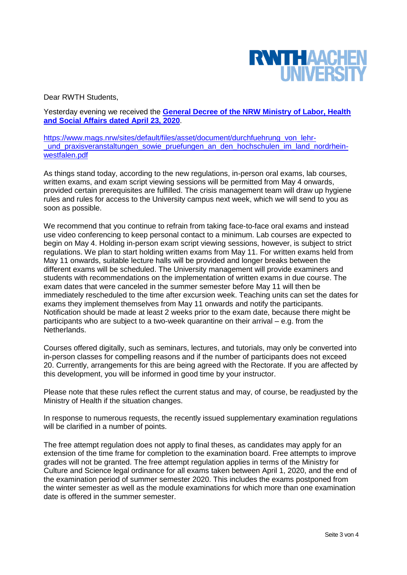

Dear RWTH Students,

Yesterday evening we received the **[General Decree of the NRW Ministry of Labor, Health](https://www.mags.nrw/sites/default/files/asset/document/200423_internet_av_durchfuehrung_von_lehr-_und_praxisveranstaltungen_sowie_pruefungen_an_den_hochschulen_im_land_nordrhein-westfalen.pdf)  [and Social Affairs dated April 23, 2020](https://www.mags.nrw/sites/default/files/asset/document/200423_internet_av_durchfuehrung_von_lehr-_und_praxisveranstaltungen_sowie_pruefungen_an_den_hochschulen_im_land_nordrhein-westfalen.pdf)**.

[https://www.mags.nrw/sites/default/files/asset/document/durchfuehrung\\_von\\_lehr](https://www.mags.nrw/sites/default/files/asset/document/durchfuehrung_von_lehr-_und_praxisveranstaltungen_sowie_pruefungen_an_den_hochschulen_im_land_nordrhein-westfalen.pdf) und praxisveranstaltungen sowie pruefungen an den hochschulen im land nordrhein[westfalen.pdf](https://www.mags.nrw/sites/default/files/asset/document/durchfuehrung_von_lehr-_und_praxisveranstaltungen_sowie_pruefungen_an_den_hochschulen_im_land_nordrhein-westfalen.pdf)

As things stand today, according to the new regulations, in-person oral exams, lab courses, written exams, and exam script viewing sessions will be permitted from May 4 onwards, provided certain prerequisites are fulfilled. The crisis management team will draw up hygiene rules and rules for access to the University campus next week, which we will send to you as soon as possible.

We recommend that you continue to refrain from taking face-to-face oral exams and instead use video conferencing to keep personal contact to a minimum. Lab courses are expected to begin on May 4. Holding in-person exam script viewing sessions, however, is subject to strict regulations. We plan to start holding written exams from May 11. For written exams held from May 11 onwards, suitable lecture halls will be provided and longer breaks between the different exams will be scheduled. The University management will provide examiners and students with recommendations on the implementation of written exams in due course. The exam dates that were canceled in the summer semester before May 11 will then be immediately rescheduled to the time after excursion week. Teaching units can set the dates for exams they implement themselves from May 11 onwards and notify the participants. Notification should be made at least 2 weeks prior to the exam date, because there might be participants who are subject to a two-week quarantine on their arrival – e.g. from the Netherlands.

Courses offered digitally, such as seminars, lectures, and tutorials, may only be converted into in-person classes for compelling reasons and if the number of participants does not exceed 20. Currently, arrangements for this are being agreed with the Rectorate. If you are affected by this development, you will be informed in good time by your instructor.

Please note that these rules reflect the current status and may, of course, be readjusted by the Ministry of Health if the situation changes.

In response to numerous requests, the recently issued supplementary examination regulations will be clarified in a number of points.

The free attempt regulation does not apply to final theses, as candidates may apply for an extension of the time frame for completion to the examination board. Free attempts to improve grades will not be granted. The free attempt regulation applies in terms of the Ministry for Culture and Science legal ordinance for all exams taken between April 1, 2020, and the end of the examination period of summer semester 2020. This includes the exams postponed from the winter semester as well as the module examinations for which more than one examination date is offered in the summer semester.